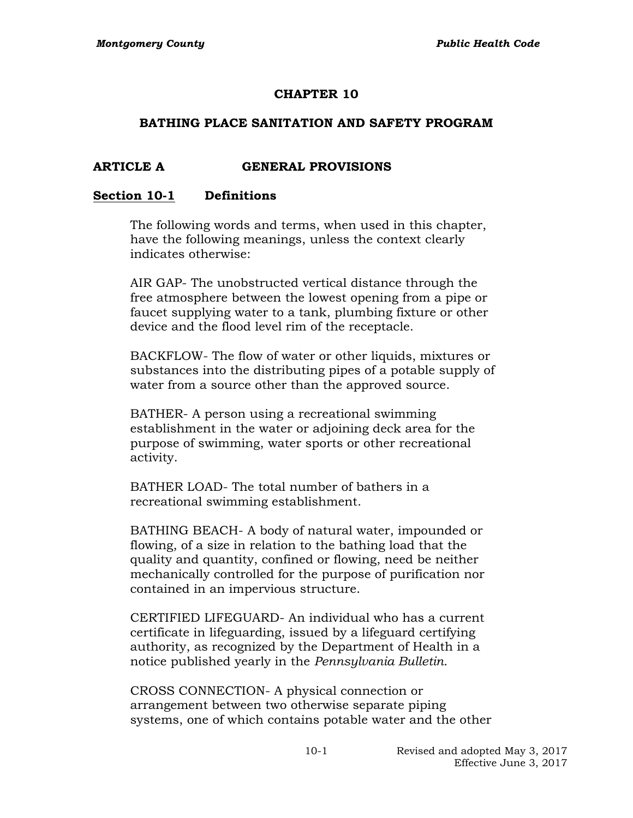### **CHAPTER 10**

#### **BATHING PLACE SANITATION AND SAFETY PROGRAM**

#### **ARTICLE A GENERAL PROVISIONS**

#### **Section 10-1 Definitions**

The following words and terms, when used in this chapter, have the following meanings, unless the context clearly indicates otherwise:

AIR GAP- The unobstructed vertical distance through the free atmosphere between the lowest opening from a pipe or faucet supplying water to a tank, plumbing fixture or other device and the flood level rim of the receptacle.

BACKFLOW- The flow of water or other liquids, mixtures or substances into the distributing pipes of a potable supply of water from a source other than the approved source.

BATHER- A person using a recreational swimming establishment in the water or adjoining deck area for the purpose of swimming, water sports or other recreational activity.

BATHER LOAD- The total number of bathers in a recreational swimming establishment.

BATHING BEACH- A body of natural water, impounded or flowing, of a size in relation to the bathing load that the quality and quantity, confined or flowing, need be neither mechanically controlled for the purpose of purification nor contained in an impervious structure.

CERTIFIED LIFEGUARD- An individual who has a current certificate in lifeguarding, issued by a lifeguard certifying authority, as recognized by the Department of Health in a notice published yearly in the *Pennsylvania Bulletin*.

CROSS CONNECTION- A physical connection or arrangement between two otherwise separate piping systems, one of which contains potable water and the other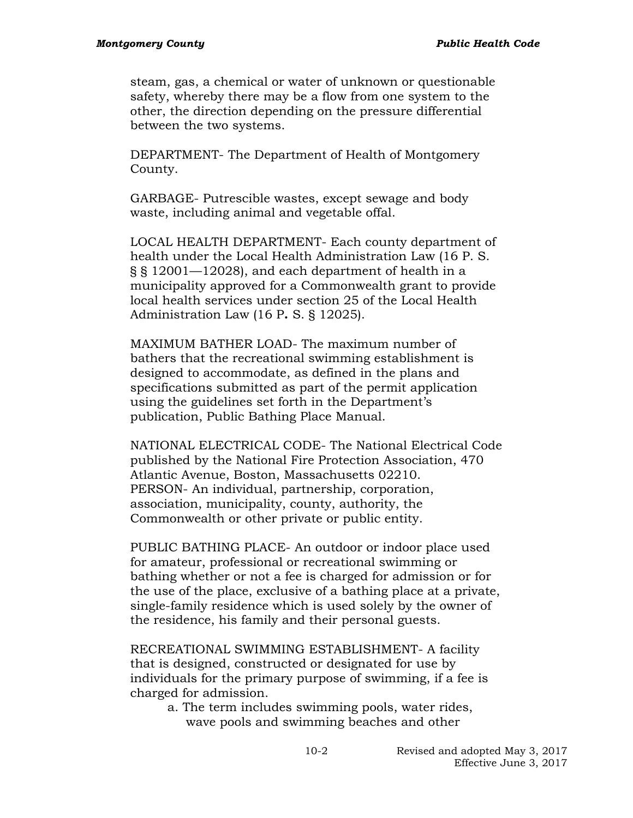steam, gas, a chemical or water of unknown or questionable safety, whereby there may be a flow from one system to the other, the direction depending on the pressure differential between the two systems.

DEPARTMENT- The Department of Health of Montgomery County.

GARBAGE- Putrescible wastes, except sewage and body waste, including animal and vegetable offal.

LOCAL HEALTH DEPARTMENT- Each county department of health under the Local Health Administration Law (16 P. S. § § 12001—12028), and each department of health in a municipality approved for a Commonwealth grant to provide local health services under section 25 of the Local Health Administration Law (16 P**.** S. § 12025).

MAXIMUM BATHER LOAD- The maximum number of bathers that the recreational swimming establishment is designed to accommodate, as defined in the plans and specifications submitted as part of the permit application using the guidelines set forth in the Department's publication, Public Bathing Place Manual.

NATIONAL ELECTRICAL CODE- The National Electrical Code published by the National Fire Protection Association, 470 Atlantic Avenue, Boston, Massachusetts 02210. PERSON- An individual, partnership, corporation, association, municipality, county, authority, the Commonwealth or other private or public entity.

PUBLIC BATHING PLACE- An outdoor or indoor place used for amateur, professional or recreational swimming or bathing whether or not a fee is charged for admission or for the use of the place, exclusive of a bathing place at a private, single-family residence which is used solely by the owner of the residence, his family and their personal guests.

RECREATIONAL SWIMMING ESTABLISHMENT- A facility that is designed, constructed or designated for use by individuals for the primary purpose of swimming, if a fee is charged for admission.

> a. The term includes swimming pools, water rides, wave pools and swimming beaches and other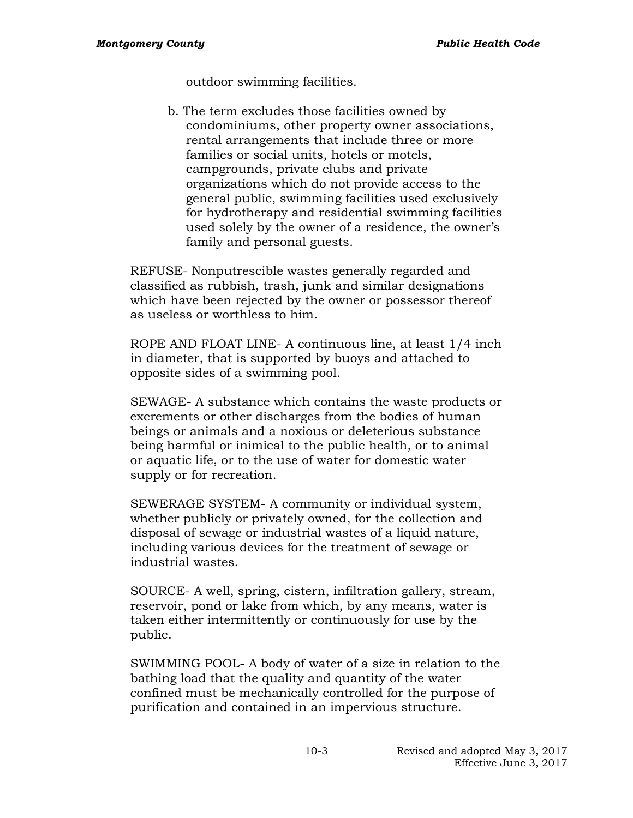outdoor swimming facilities.

b. The term excludes those facilities owned by condominiums, other property owner associations, rental arrangements that include three or more families or social units, hotels or motels, campgrounds, private clubs and private organizations which do not provide access to the general public, swimming facilities used exclusively for hydrotherapy and residential swimming facilities used solely by the owner of a residence, the owner's family and personal guests.

REFUSE- Nonputrescible wastes generally regarded and classified as rubbish, trash, junk and similar designations which have been rejected by the owner or possessor thereof as useless or worthless to him.

ROPE AND FLOAT LINE- A continuous line, at least 1/4 inch in diameter, that is supported by buoys and attached to opposite sides of a swimming pool.

SEWAGE- A substance which contains the waste products or excrements or other discharges from the bodies of human beings or animals and a noxious or deleterious substance being harmful or inimical to the public health, or to animal or aquatic life, or to the use of water for domestic water supply or for recreation.

SEWERAGE SYSTEM- A community or individual system, whether publicly or privately owned, for the collection and disposal of sewage or industrial wastes of a liquid nature, including various devices for the treatment of sewage or industrial wastes.

SOURCE- A well, spring, cistern, infiltration gallery, stream, reservoir, pond or lake from which, by any means, water is taken either intermittently or continuously for use by the public.

SWIMMING POOL- A body of water of a size in relation to the bathing load that the quality and quantity of the water confined must be mechanically controlled for the purpose of purification and contained in an impervious structure.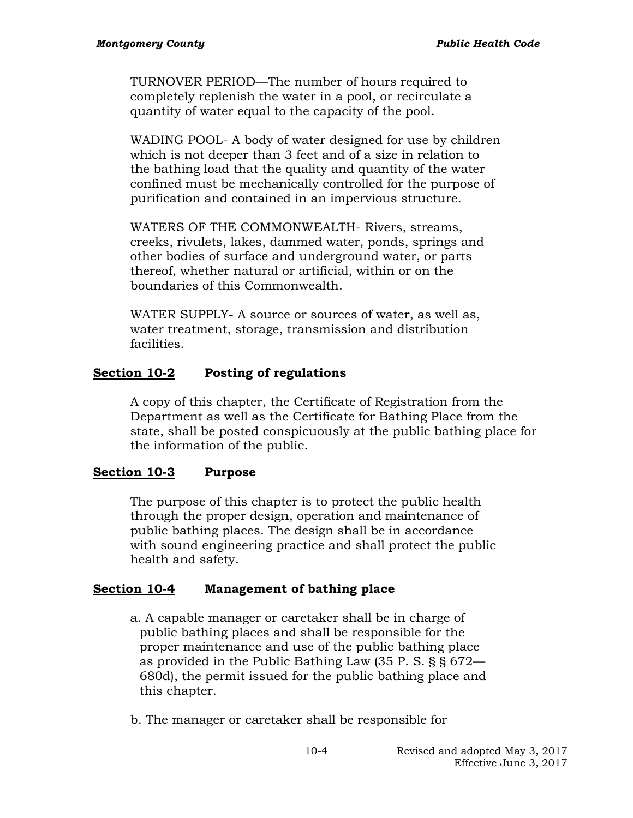TURNOVER PERIOD—The number of hours required to completely replenish the water in a pool, or recirculate a quantity of water equal to the capacity of the pool.

WADING POOL- A body of water designed for use by children which is not deeper than 3 feet and of a size in relation to the bathing load that the quality and quantity of the water confined must be mechanically controlled for the purpose of purification and contained in an impervious structure.

WATERS OF THE COMMONWEALTH- Rivers, streams, creeks, rivulets, lakes, dammed water, ponds, springs and other bodies of surface and underground water, or parts thereof, whether natural or artificial, within or on the boundaries of this Commonwealth.

WATER SUPPLY- A source or sources of water, as well as, water treatment, storage, transmission and distribution facilities.

## **Section 10-2 Posting of regulations**

A copy of this chapter, the Certificate of Registration from the Department as well as the Certificate for Bathing Place from the state, shall be posted conspicuously at the public bathing place for the information of the public.

## **Section 10-3 Purpose**

The purpose of this chapter is to protect the public health through the proper design, operation and maintenance of public bathing places. The design shall be in accordance with sound engineering practice and shall protect the public health and safety.

## **Section 10-4 Management of bathing place**

- a. A capable manager or caretaker shall be in charge of public bathing places and shall be responsible for the proper maintenance and use of the public bathing place as provided in the Public Bathing Law (35 P. S. § § 672— 680d), the permit issued for the public bathing place and this chapter.
- b. The manager or caretaker shall be responsible for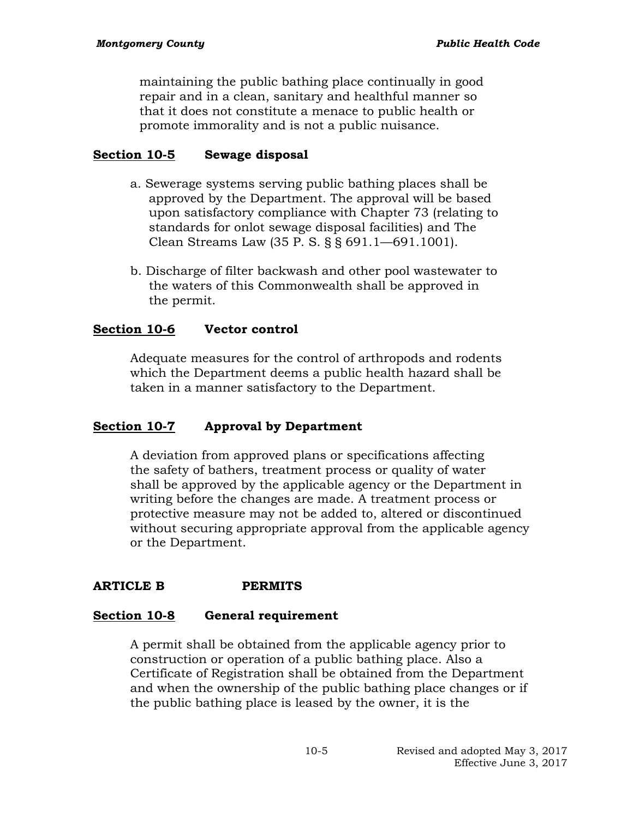maintaining the public bathing place continually in good repair and in a clean, sanitary and healthful manner so that it does not constitute a menace to public health or promote immorality and is not a public nuisance.

## **Section 10-5 Sewage disposal**

- a. Sewerage systems serving public bathing places shall be approved by the Department. The approval will be based upon satisfactory compliance with Chapter 73 (relating to standards for onlot sewage disposal facilities) and The Clean Streams Law (35 P. S. § § 691.1—691.1001).
- b. Discharge of filter backwash and other pool wastewater to the waters of this Commonwealth shall be approved in the permit.

## **Section 10-6 Vector control**

Adequate measures for the control of arthropods and rodents which the Department deems a public health hazard shall be taken in a manner satisfactory to the Department.

## **Section 10-7 Approval by Department**

A deviation from approved plans or specifications affecting the safety of bathers, treatment process or quality of water shall be approved by the applicable agency or the Department in writing before the changes are made. A treatment process or protective measure may not be added to, altered or discontinued without securing appropriate approval from the applicable agency or the Department.

## **ARTICLE B PERMITS**

### **Section 10-8 General requirement**

A permit shall be obtained from the applicable agency prior to construction or operation of a public bathing place. Also a Certificate of Registration shall be obtained from the Department and when the ownership of the public bathing place changes or if the public bathing place is leased by the owner, it is the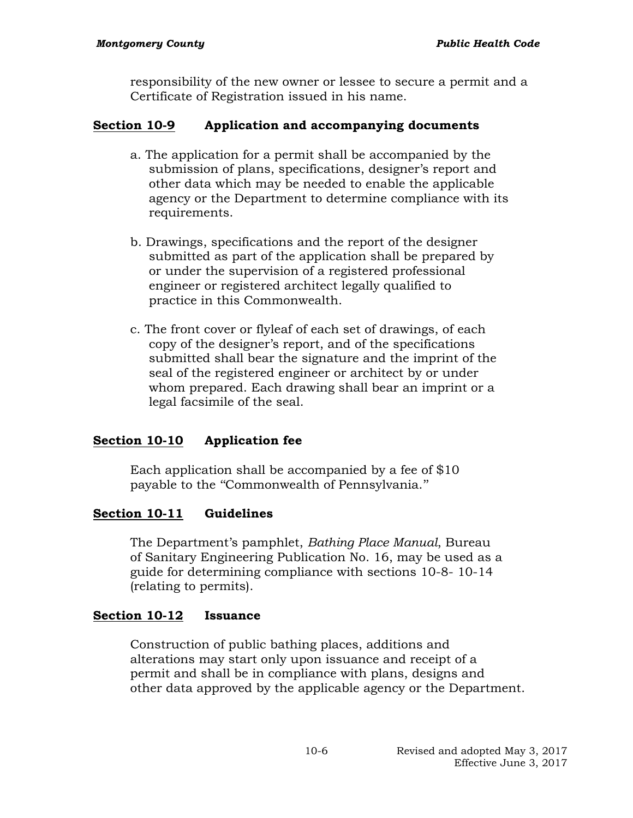responsibility of the new owner or lessee to secure a permit and a Certificate of Registration issued in his name.

## **Section 10-9 Application and accompanying documents**

- a. The application for a permit shall be accompanied by the submission of plans, specifications, designer's report and other data which may be needed to enable the applicable agency or the Department to determine compliance with its requirements.
- b. Drawings, specifications and the report of the designer submitted as part of the application shall be prepared by or under the supervision of a registered professional engineer or registered architect legally qualified to practice in this Commonwealth.
- c. The front cover or flyleaf of each set of drawings, of each copy of the designer's report, and of the specifications submitted shall bear the signature and the imprint of the seal of the registered engineer or architect by or under whom prepared. Each drawing shall bear an imprint or a legal facsimile of the seal.

### **Section 10-10 Application fee**

Each application shall be accompanied by a fee of \$10 payable to the ''Commonwealth of Pennsylvania.''

### **Section 10-11 Guidelines**

The Department's pamphlet, *Bathing Place Manual*, Bureau of Sanitary Engineering Publication No. 16, may be used as a guide for determining compliance with sections 10-8- 10-14 (relating to permits).

#### **Section 10-12 Issuance**

Construction of public bathing places, additions and alterations may start only upon issuance and receipt of a permit and shall be in compliance with plans, designs and other data approved by the applicable agency or the Department.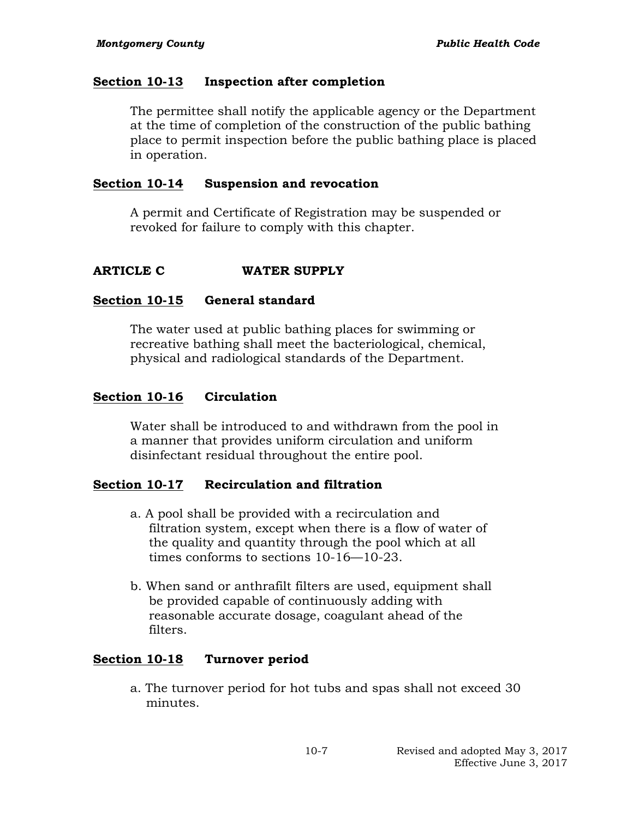### **Section 10-13 Inspection after completion**

The permittee shall notify the applicable agency or the Department at the time of completion of the construction of the public bathing place to permit inspection before the public bathing place is placed in operation.

### **Section 10-14 Suspension and revocation**

A permit and Certificate of Registration may be suspended or revoked for failure to comply with this chapter.

## **ARTICLE C WATER SUPPLY**

### **Section 10-15 General standard**

The water used at public bathing places for swimming or recreative bathing shall meet the bacteriological, chemical, physical and radiological standards of the Department.

## **Section 10-16 Circulation**

Water shall be introduced to and withdrawn from the pool in a manner that provides uniform circulation and uniform disinfectant residual throughout the entire pool.

## **Section 10-17 Recirculation and filtration**

- a. A pool shall be provided with a recirculation and filtration system, except when there is a flow of water of the quality and quantity through the pool which at all times conforms to sections 10-16—10-23.
- b. When sand or anthrafilt filters are used, equipment shall be provided capable of continuously adding with reasonable accurate dosage, coagulant ahead of the filters.

### **Section 10-18 Turnover period**

a. The turnover period for hot tubs and spas shall not exceed 30 minutes.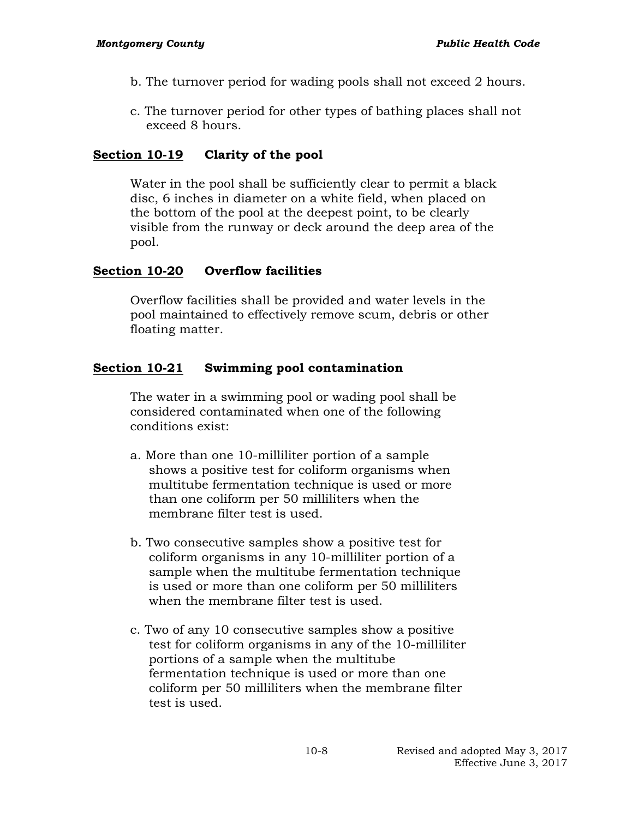- b. The turnover period for wading pools shall not exceed 2 hours.
- c. The turnover period for other types of bathing places shall not exceed 8 hours.

## **Section 10-19 Clarity of the pool**

Water in the pool shall be sufficiently clear to permit a black disc, 6 inches in diameter on a white field, when placed on the bottom of the pool at the deepest point, to be clearly visible from the runway or deck around the deep area of the pool.

## **Section 10-20 Overflow facilities**

Overflow facilities shall be provided and water levels in the pool maintained to effectively remove scum, debris or other floating matter.

## **Section 10-21 Swimming pool contamination**

The water in a swimming pool or wading pool shall be considered contaminated when one of the following conditions exist:

- a. More than one 10-milliliter portion of a sample shows a positive test for coliform organisms when multitube fermentation technique is used or more than one coliform per 50 milliliters when the membrane filter test is used.
- b. Two consecutive samples show a positive test for coliform organisms in any 10-milliliter portion of a sample when the multitube fermentation technique is used or more than one coliform per 50 milliliters when the membrane filter test is used.
- c. Two of any 10 consecutive samples show a positive test for coliform organisms in any of the 10-milliliter portions of a sample when the multitube fermentation technique is used or more than one coliform per 50 milliliters when the membrane filter test is used.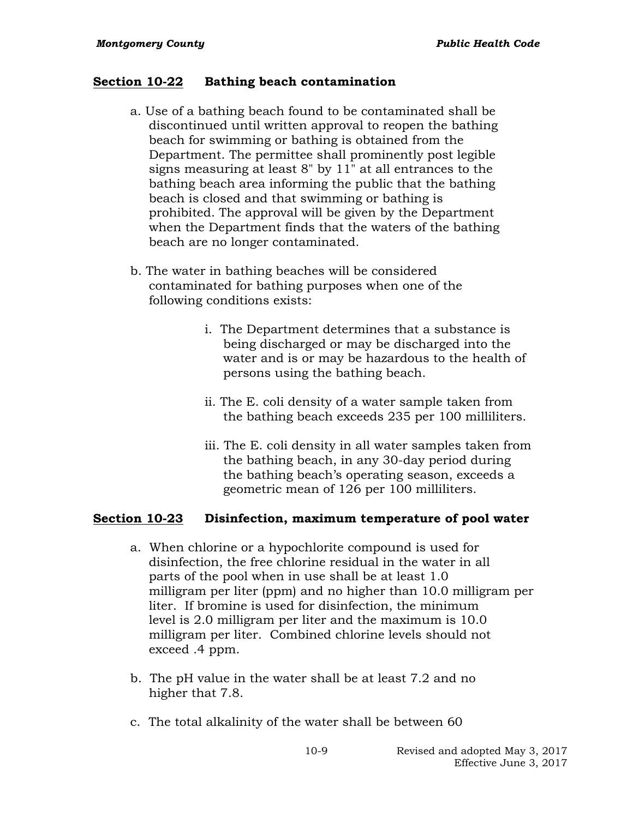#### **Section 10-22 Bathing beach contamination**

- a. Use of a bathing beach found to be contaminated shall be discontinued until written approval to reopen the bathing beach for swimming or bathing is obtained from the Department. The permittee shall prominently post legible signs measuring at least 8" by 11" at all entrances to the bathing beach area informing the public that the bathing beach is closed and that swimming or bathing is prohibited. The approval will be given by the Department when the Department finds that the waters of the bathing beach are no longer contaminated.
- b. The water in bathing beaches will be considered contaminated for bathing purposes when one of the following conditions exists:
	- i. The Department determines that a substance is being discharged or may be discharged into the water and is or may be hazardous to the health of persons using the bathing beach.
	- ii. The E. coli density of a water sample taken from the bathing beach exceeds 235 per 100 milliliters.
	- iii. The E. coli density in all water samples taken from the bathing beach, in any 30-day period during the bathing beach's operating season, exceeds a geometric mean of 126 per 100 milliliters.

#### **Section 10-23 Disinfection, maximum temperature of pool water**

- a. When chlorine or a hypochlorite compound is used for disinfection, the free chlorine residual in the water in all parts of the pool when in use shall be at least 1.0 milligram per liter (ppm) and no higher than 10.0 milligram per liter. If bromine is used for disinfection, the minimum level is 2.0 milligram per liter and the maximum is 10.0 milligram per liter. Combined chlorine levels should not exceed .4 ppm.
- b. The pH value in the water shall be at least 7.2 and no higher that 7.8.
- c. The total alkalinity of the water shall be between 60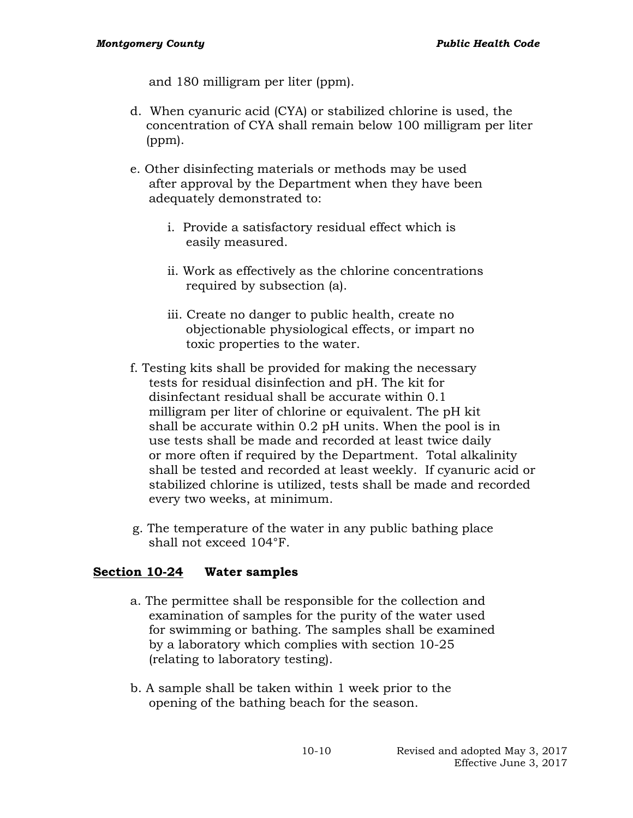and 180 milligram per liter (ppm).

- d. When cyanuric acid (CYA) or stabilized chlorine is used, the concentration of CYA shall remain below 100 milligram per liter (ppm).
- e. Other disinfecting materials or methods may be used after approval by the Department when they have been adequately demonstrated to:
	- i. Provide a satisfactory residual effect which is easily measured.
	- ii. Work as effectively as the chlorine concentrations required by subsection (a).
	- iii. Create no danger to public health, create no objectionable physiological effects, or impart no toxic properties to the water.
- f. Testing kits shall be provided for making the necessary tests for residual disinfection and pH. The kit for disinfectant residual shall be accurate within 0.1 milligram per liter of chlorine or equivalent. The pH kit shall be accurate within 0.2 pH units. When the pool is in use tests shall be made and recorded at least twice daily or more often if required by the Department. Total alkalinity shall be tested and recorded at least weekly. If cyanuric acid or stabilized chlorine is utilized, tests shall be made and recorded every two weeks, at minimum.
- g. The temperature of the water in any public bathing place shall not exceed 104°F.

### **Section 10-24 Water samples**

- a. The permittee shall be responsible for the collection and examination of samples for the purity of the water used for swimming or bathing. The samples shall be examined by a laboratory which complies with section 10-25 (relating to laboratory testing).
- b. A sample shall be taken within 1 week prior to the opening of the bathing beach for the season.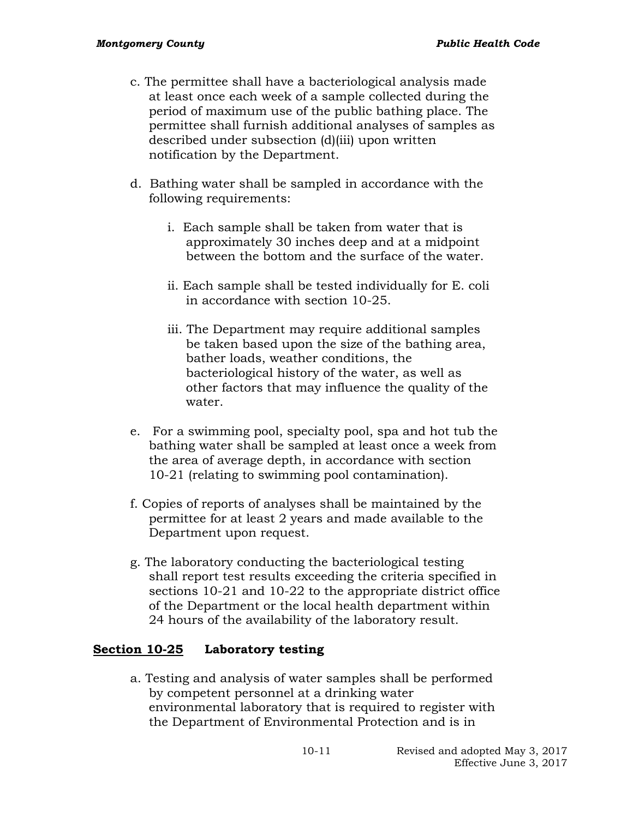- c. The permittee shall have a bacteriological analysis made at least once each week of a sample collected during the period of maximum use of the public bathing place. The permittee shall furnish additional analyses of samples as described under subsection (d)(iii) upon written notification by the Department.
- d. Bathing water shall be sampled in accordance with the following requirements:
	- i. Each sample shall be taken from water that is approximately 30 inches deep and at a midpoint between the bottom and the surface of the water.
	- ii. Each sample shall be tested individually for E. coli in accordance with section 10-25.
	- iii. The Department may require additional samples be taken based upon the size of the bathing area, bather loads, weather conditions, the bacteriological history of the water, as well as other factors that may influence the quality of the water.
- e. For a swimming pool, specialty pool, spa and hot tub the bathing water shall be sampled at least once a week from the area of average depth, in accordance with section 10-21 (relating to swimming pool contamination).
- f. Copies of reports of analyses shall be maintained by the permittee for at least 2 years and made available to the Department upon request.
- g. The laboratory conducting the bacteriological testing shall report test results exceeding the criteria specified in sections 10-21 and 10-22 to the appropriate district office of the Department or the local health department within 24 hours of the availability of the laboratory result.

### **Section 10-25 Laboratory testing**

a. Testing and analysis of water samples shall be performed by competent personnel at a drinking water environmental laboratory that is required to register with the Department of Environmental Protection and is in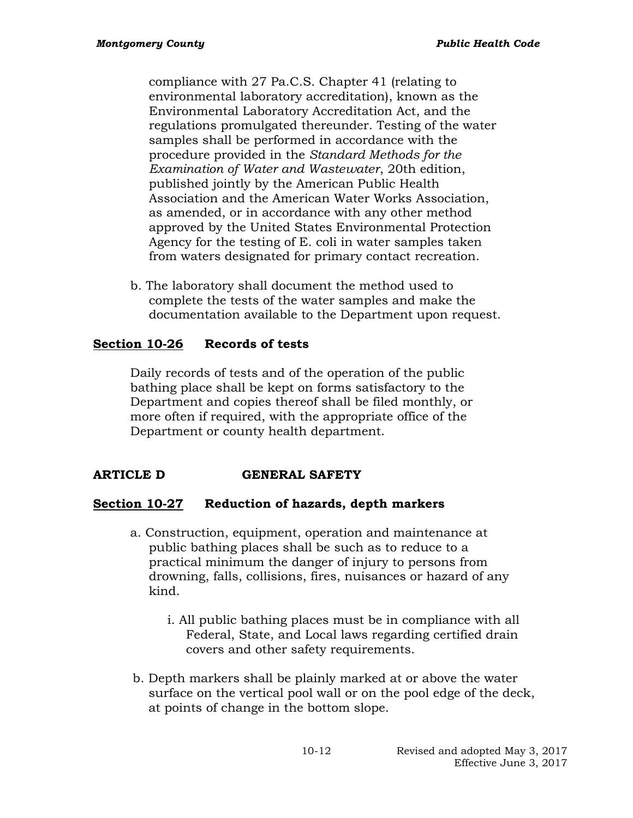compliance with 27 Pa.C.S. Chapter 41 (relating to environmental laboratory accreditation), known as the Environmental Laboratory Accreditation Act, and the regulations promulgated thereunder. Testing of the water samples shall be performed in accordance with the procedure provided in the *Standard Methods for the Examination of Water and Wastewater*, 20th edition, published jointly by the American Public Health Association and the American Water Works Association, as amended, or in accordance with any other method approved by the United States Environmental Protection Agency for the testing of E. coli in water samples taken from waters designated for primary contact recreation.

b. The laboratory shall document the method used to complete the tests of the water samples and make the documentation available to the Department upon request.

## **Section 10-26 Records of tests**

Daily records of tests and of the operation of the public bathing place shall be kept on forms satisfactory to the Department and copies thereof shall be filed monthly, or more often if required, with the appropriate office of the Department or county health department.

## **ARTICLE D GENERAL SAFETY**

## **Section 10-27 Reduction of hazards, depth markers**

- a. Construction, equipment, operation and maintenance at public bathing places shall be such as to reduce to a practical minimum the danger of injury to persons from drowning, falls, collisions, fires, nuisances or hazard of any kind.
	- i. All public bathing places must be in compliance with all Federal, State, and Local laws regarding certified drain covers and other safety requirements.
- b. Depth markers shall be plainly marked at or above the water surface on the vertical pool wall or on the pool edge of the deck, at points of change in the bottom slope.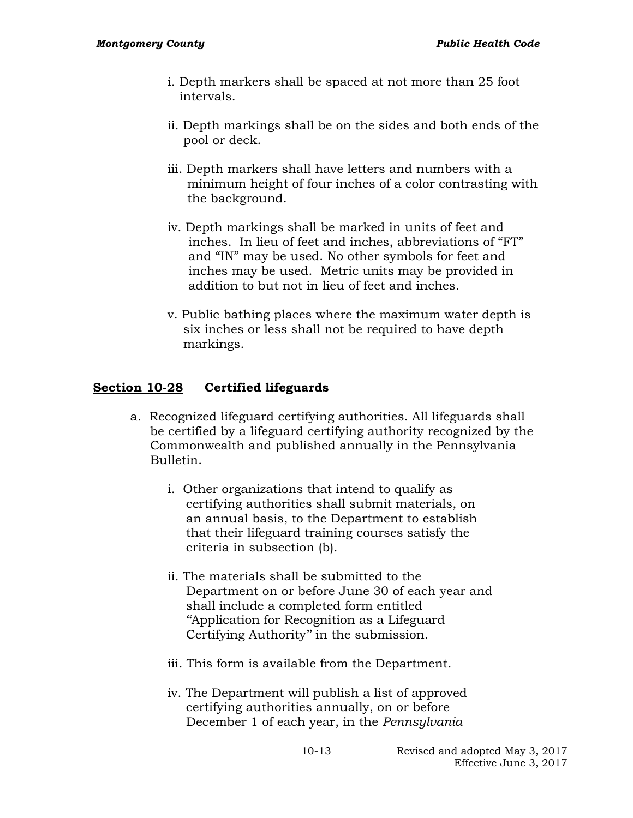- i. Depth markers shall be spaced at not more than 25 foot intervals.
- ii. Depth markings shall be on the sides and both ends of the pool or deck.
- iii. Depth markers shall have letters and numbers with a minimum height of four inches of a color contrasting with the background.
- iv. Depth markings shall be marked in units of feet and inches. In lieu of feet and inches, abbreviations of "FT" and "IN" may be used. No other symbols for feet and inches may be used. Metric units may be provided in addition to but not in lieu of feet and inches.
- v. Public bathing places where the maximum water depth is six inches or less shall not be required to have depth markings.

## **Section 10-28 Certified lifeguards**

- a. Recognized lifeguard certifying authorities. All lifeguards shall be certified by a lifeguard certifying authority recognized by the Commonwealth and published annually in the Pennsylvania Bulletin.
	- i. Other organizations that intend to qualify as certifying authorities shall submit materials, on an annual basis, to the Department to establish that their lifeguard training courses satisfy the criteria in subsection (b).
	- ii. The materials shall be submitted to the Department on or before June 30 of each year and shall include a completed form entitled ''Application for Recognition as a Lifeguard Certifying Authority'' in the submission.
	- iii. This form is available from the Department.
	- iv. The Department will publish a list of approved certifying authorities annually, on or before December 1 of each year, in the *Pennsylvania*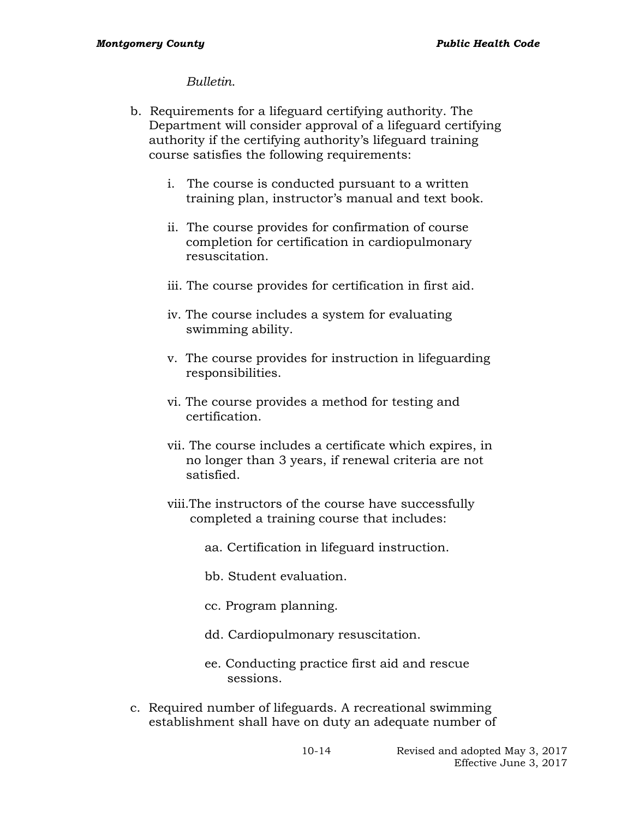#### *Bulletin*.

- b. Requirements for a lifeguard certifying authority. The Department will consider approval of a lifeguard certifying authority if the certifying authority's lifeguard training course satisfies the following requirements:
	- i. The course is conducted pursuant to a written training plan, instructor's manual and text book.
	- ii. The course provides for confirmation of course completion for certification in cardiopulmonary resuscitation.
	- iii. The course provides for certification in first aid.
	- iv. The course includes a system for evaluating swimming ability.
	- v. The course provides for instruction in lifeguarding responsibilities.
	- vi. The course provides a method for testing and certification.
	- vii. The course includes a certificate which expires, in no longer than 3 years, if renewal criteria are not satisfied.
	- viii.The instructors of the course have successfully completed a training course that includes:
		- aa. Certification in lifeguard instruction.
		- bb. Student evaluation.
		- cc. Program planning.
		- dd. Cardiopulmonary resuscitation.
		- ee. Conducting practice first aid and rescue sessions.
- c. Required number of lifeguards. A recreational swimming establishment shall have on duty an adequate number of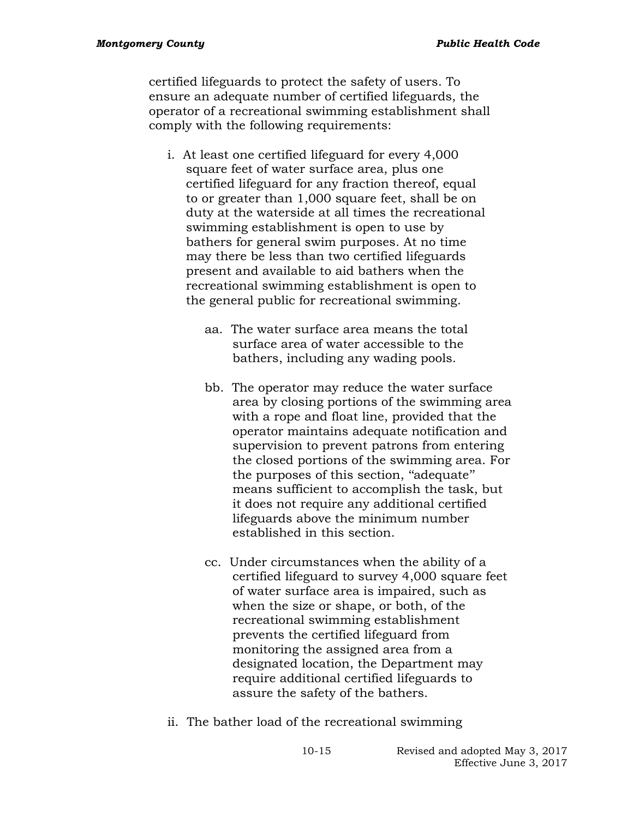certified lifeguards to protect the safety of users. To ensure an adequate number of certified lifeguards, the operator of a recreational swimming establishment shall comply with the following requirements:

- i. At least one certified lifeguard for every 4,000 square feet of water surface area, plus one certified lifeguard for any fraction thereof, equal to or greater than 1,000 square feet, shall be on duty at the waterside at all times the recreational swimming establishment is open to use by bathers for general swim purposes. At no time may there be less than two certified lifeguards present and available to aid bathers when the recreational swimming establishment is open to the general public for recreational swimming.
	- aa. The water surface area means the total surface area of water accessible to the bathers, including any wading pools.
	- bb. The operator may reduce the water surface area by closing portions of the swimming area with a rope and float line, provided that the operator maintains adequate notification and supervision to prevent patrons from entering the closed portions of the swimming area. For the purposes of this section, ''adequate'' means sufficient to accomplish the task, but it does not require any additional certified lifeguards above the minimum number established in this section.
	- cc. Under circumstances when the ability of a certified lifeguard to survey 4,000 square feet of water surface area is impaired, such as when the size or shape, or both, of the recreational swimming establishment prevents the certified lifeguard from monitoring the assigned area from a designated location, the Department may require additional certified lifeguards to assure the safety of the bathers.
- ii. The bather load of the recreational swimming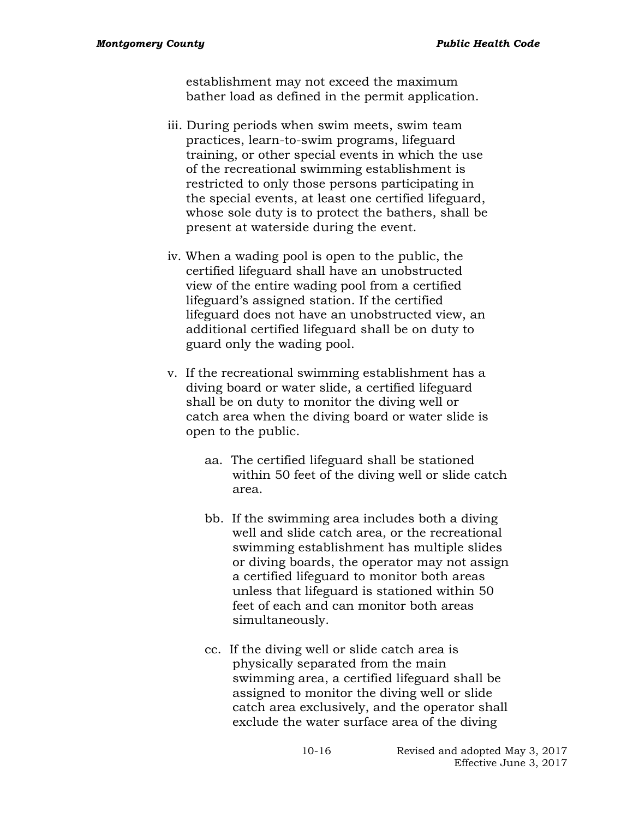establishment may not exceed the maximum bather load as defined in the permit application.

- iii. During periods when swim meets, swim team practices, learn-to-swim programs, lifeguard training, or other special events in which the use of the recreational swimming establishment is restricted to only those persons participating in the special events, at least one certified lifeguard, whose sole duty is to protect the bathers, shall be present at waterside during the event.
- iv. When a wading pool is open to the public, the certified lifeguard shall have an unobstructed view of the entire wading pool from a certified lifeguard's assigned station. If the certified lifeguard does not have an unobstructed view, an additional certified lifeguard shall be on duty to guard only the wading pool.
- v. If the recreational swimming establishment has a diving board or water slide, a certified lifeguard shall be on duty to monitor the diving well or catch area when the diving board or water slide is open to the public.
	- aa. The certified lifeguard shall be stationed within 50 feet of the diving well or slide catch area.
	- bb. If the swimming area includes both a diving well and slide catch area, or the recreational swimming establishment has multiple slides or diving boards, the operator may not assign a certified lifeguard to monitor both areas unless that lifeguard is stationed within 50 feet of each and can monitor both areas simultaneously.
	- cc. If the diving well or slide catch area is physically separated from the main swimming area, a certified lifeguard shall be assigned to monitor the diving well or slide catch area exclusively, and the operator shall exclude the water surface area of the diving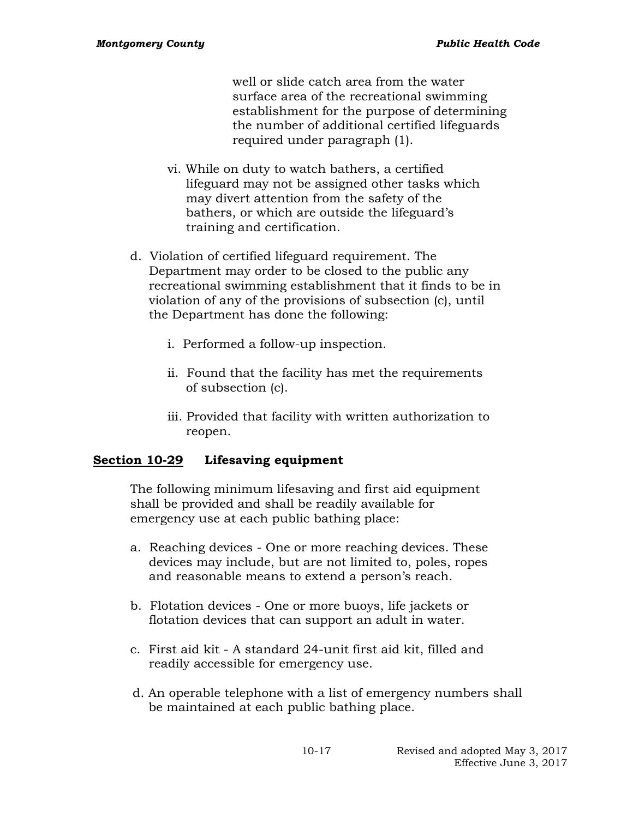well or slide catch area from the water surface area of the recreational swimming establishment for the purpose of determining the number of additional certified lifeguards required under paragraph (1).

- vi. While on duty to watch bathers, a certified lifeguard may not be assigned other tasks which may divert attention from the safety of the bathers, or which are outside the lifeguard's training and certification.
- d. Violation of certified lifeguard requirement. The Department may order to be closed to the public any recreational swimming establishment that it finds to be in violation of any of the provisions of subsection (c), until the Department has done the following:
	- i. Performed a follow-up inspection.
	- ii. Found that the facility has met the requirements of subsection (c).
	- iii. Provided that facility with written authorization to reopen.

## **Section 10-29 Lifesaving equipment**

The following minimum lifesaving and first aid equipment shall be provided and shall be readily available for emergency use at each public bathing place:

- a. Reaching devices One or more reaching devices. These devices may include, but are not limited to, poles, ropes and reasonable means to extend a person's reach.
- b. Flotation devices One or more buoys, life jackets or flotation devices that can support an adult in water.
- c. First aid kit A standard 24-unit first aid kit, filled and readily accessible for emergency use.
- d. An operable telephone with a list of emergency numbers shall be maintained at each public bathing place.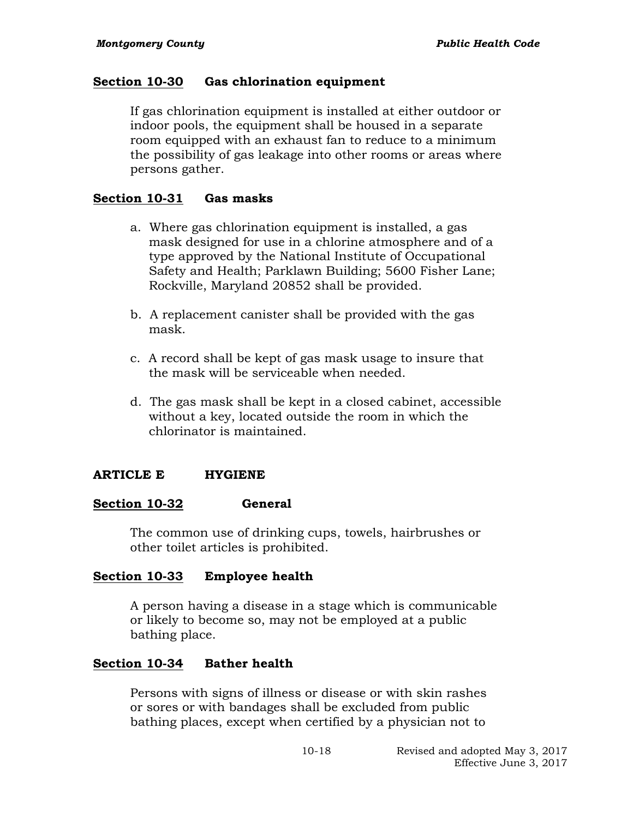## **Section 10-30 Gas chlorination equipment**

If gas chlorination equipment is installed at either outdoor or indoor pools, the equipment shall be housed in a separate room equipped with an exhaust fan to reduce to a minimum the possibility of gas leakage into other rooms or areas where persons gather.

### **Section 10-31 Gas masks**

- a. Where gas chlorination equipment is installed, a gas mask designed for use in a chlorine atmosphere and of a type approved by the National Institute of Occupational Safety and Health; Parklawn Building; 5600 Fisher Lane; Rockville, Maryland 20852 shall be provided.
- b. A replacement canister shall be provided with the gas mask.
- c. A record shall be kept of gas mask usage to insure that the mask will be serviceable when needed.
- d. The gas mask shall be kept in a closed cabinet, accessible without a key, located outside the room in which the chlorinator is maintained.

## **ARTICLE E HYGIENE**

### **Section 10-32 General**

The common use of drinking cups, towels, hairbrushes or other toilet articles is prohibited.

## **Section 10-33 Employee health**

A person having a disease in a stage which is communicable or likely to become so, may not be employed at a public bathing place.

## **Section 10-34 Bather health**

Persons with signs of illness or disease or with skin rashes or sores or with bandages shall be excluded from public bathing places, except when certified by a physician not to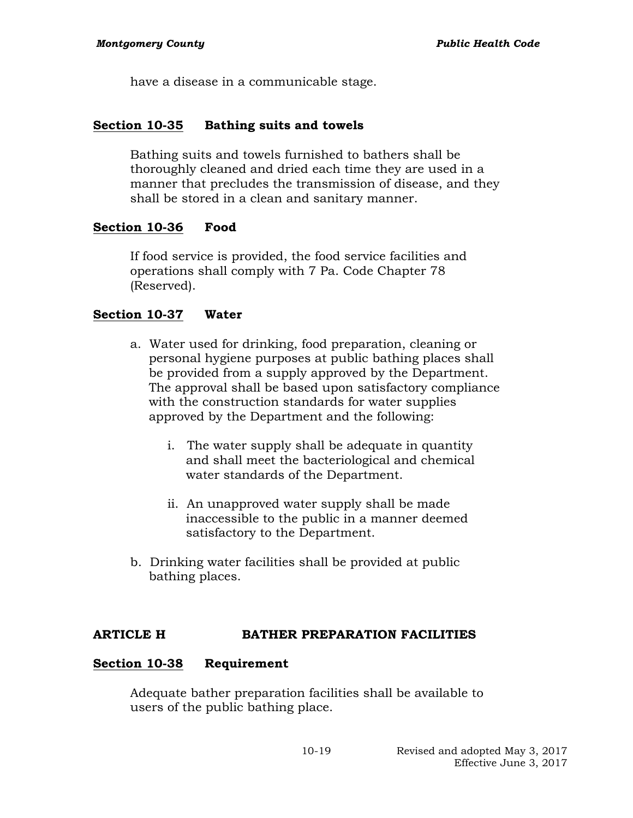have a disease in a communicable stage.

### **Section 10-35 Bathing suits and towels**

Bathing suits and towels furnished to bathers shall be thoroughly cleaned and dried each time they are used in a manner that precludes the transmission of disease, and they shall be stored in a clean and sanitary manner.

## **Section 10-36 Food**

If food service is provided, the food service facilities and operations shall comply with 7 Pa. Code Chapter 78 (Reserved).

## **Section 10-37 Water**

- a. Water used for drinking, food preparation, cleaning or personal hygiene purposes at public bathing places shall be provided from a supply approved by the Department. The approval shall be based upon satisfactory compliance with the construction standards for water supplies approved by the Department and the following:
	- i. The water supply shall be adequate in quantity and shall meet the bacteriological and chemical water standards of the Department.
	- ii. An unapproved water supply shall be made inaccessible to the public in a manner deemed satisfactory to the Department.
- b. Drinking water facilities shall be provided at public bathing places.

### **ARTICLE H BATHER PREPARATION FACILITIES**

### **Section 10-38 Requirement**

Adequate bather preparation facilities shall be available to users of the public bathing place.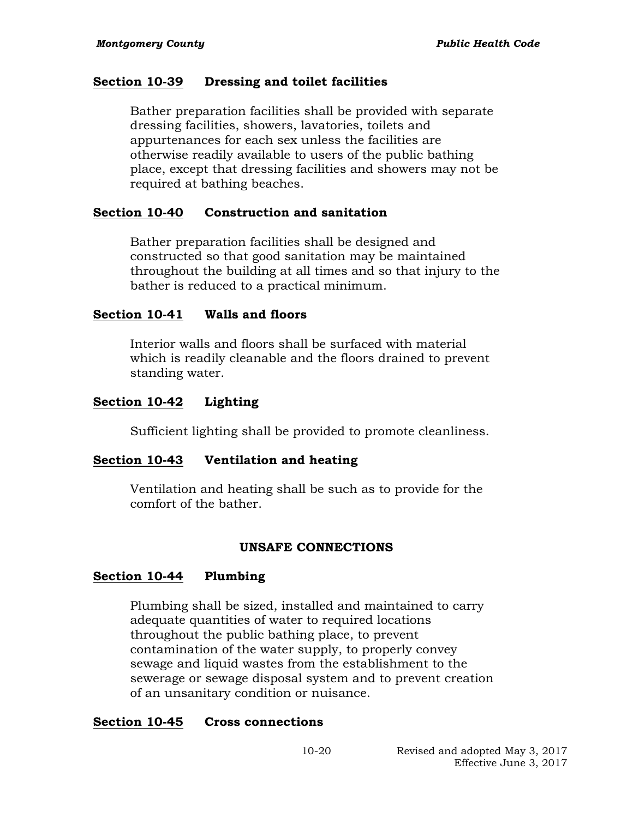#### **Section 10-39 Dressing and toilet facilities**

Bather preparation facilities shall be provided with separate dressing facilities, showers, lavatories, toilets and appurtenances for each sex unless the facilities are otherwise readily available to users of the public bathing place, except that dressing facilities and showers may not be required at bathing beaches.

### **Section 10-40 Construction and sanitation**

Bather preparation facilities shall be designed and constructed so that good sanitation may be maintained throughout the building at all times and so that injury to the bather is reduced to a practical minimum.

#### **Section 10-41 Walls and floors**

Interior walls and floors shall be surfaced with material which is readily cleanable and the floors drained to prevent standing water.

#### **Section 10-42 Lighting**

Sufficient lighting shall be provided to promote cleanliness.

#### **Section 10-43 Ventilation and heating**

Ventilation and heating shall be such as to provide for the comfort of the bather.

#### **UNSAFE CONNECTIONS**

#### **Section 10-44 Plumbing**

Plumbing shall be sized, installed and maintained to carry adequate quantities of water to required locations throughout the public bathing place, to prevent contamination of the water supply, to properly convey sewage and liquid wastes from the establishment to the sewerage or sewage disposal system and to prevent creation of an unsanitary condition or nuisance.

#### **Section 10-45 Cross connections**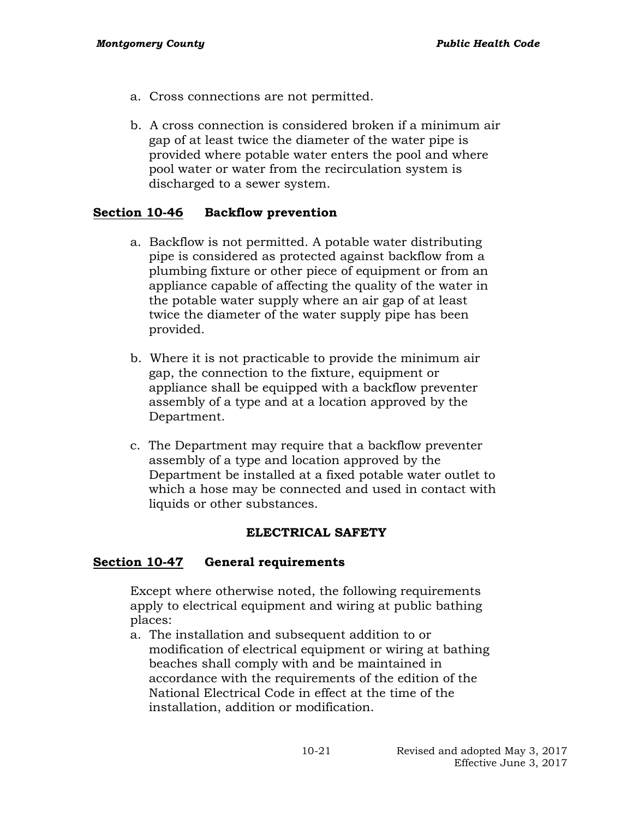- a. Cross connections are not permitted.
- b. A cross connection is considered broken if a minimum air gap of at least twice the diameter of the water pipe is provided where potable water enters the pool and where pool water or water from the recirculation system is discharged to a sewer system.

## **Section 10-46 Backflow prevention**

- a. Backflow is not permitted. A potable water distributing pipe is considered as protected against backflow from a plumbing fixture or other piece of equipment or from an appliance capable of affecting the quality of the water in the potable water supply where an air gap of at least twice the diameter of the water supply pipe has been provided.
- b. Where it is not practicable to provide the minimum air gap, the connection to the fixture, equipment or appliance shall be equipped with a backflow preventer assembly of a type and at a location approved by the Department.
- c. The Department may require that a backflow preventer assembly of a type and location approved by the Department be installed at a fixed potable water outlet to which a hose may be connected and used in contact with liquids or other substances.

### **ELECTRICAL SAFETY**

### **Section 10-47 General requirements**

Except where otherwise noted, the following requirements apply to electrical equipment and wiring at public bathing places:

a. The installation and subsequent addition to or modification of electrical equipment or wiring at bathing beaches shall comply with and be maintained in accordance with the requirements of the edition of the National Electrical Code in effect at the time of the installation, addition or modification.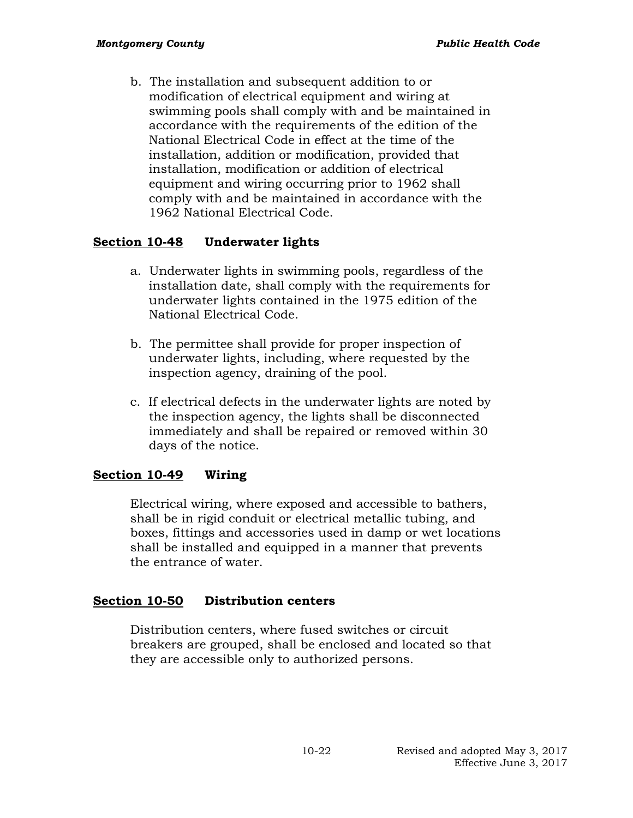b. The installation and subsequent addition to or modification of electrical equipment and wiring at swimming pools shall comply with and be maintained in accordance with the requirements of the edition of the National Electrical Code in effect at the time of the installation, addition or modification, provided that installation, modification or addition of electrical equipment and wiring occurring prior to 1962 shall comply with and be maintained in accordance with the 1962 National Electrical Code.

## **Section 10-48 Underwater lights**

- a. Underwater lights in swimming pools, regardless of the installation date, shall comply with the requirements for underwater lights contained in the 1975 edition of the National Electrical Code.
- b. The permittee shall provide for proper inspection of underwater lights, including, where requested by the inspection agency, draining of the pool.
- c. If electrical defects in the underwater lights are noted by the inspection agency, the lights shall be disconnected immediately and shall be repaired or removed within 30 days of the notice.

## **Section 10-49 Wiring**

Electrical wiring, where exposed and accessible to bathers, shall be in rigid conduit or electrical metallic tubing, and boxes, fittings and accessories used in damp or wet locations shall be installed and equipped in a manner that prevents the entrance of water.

### **Section 10-50 Distribution centers**

Distribution centers, where fused switches or circuit breakers are grouped, shall be enclosed and located so that they are accessible only to authorized persons.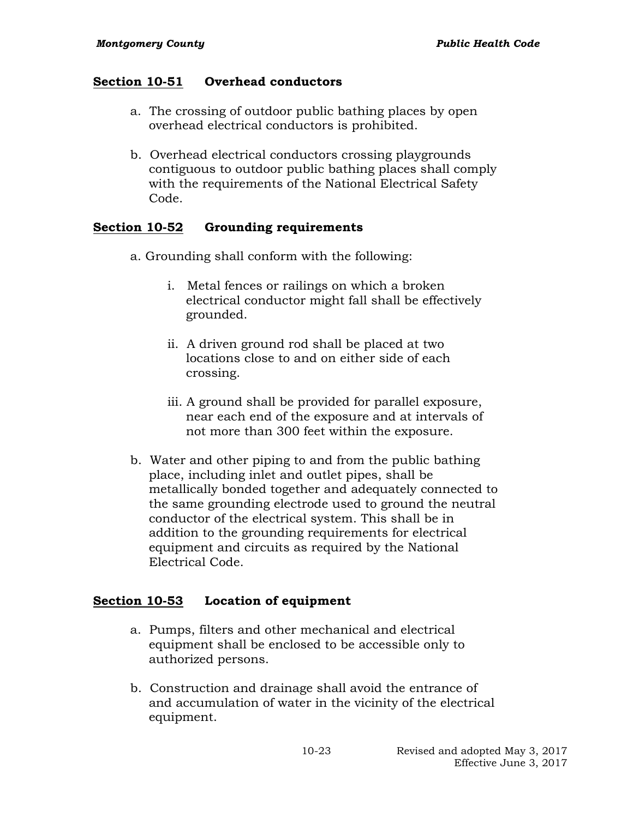## **Section 10-51 Overhead conductors**

- a. The crossing of outdoor public bathing places by open overhead electrical conductors is prohibited.
- b. Overhead electrical conductors crossing playgrounds contiguous to outdoor public bathing places shall comply with the requirements of the National Electrical Safety Code.

## **Section 10-52 Grounding requirements**

- a. Grounding shall conform with the following:
	- i. Metal fences or railings on which a broken electrical conductor might fall shall be effectively grounded.
	- ii. A driven ground rod shall be placed at two locations close to and on either side of each crossing.
	- iii. A ground shall be provided for parallel exposure, near each end of the exposure and at intervals of not more than 300 feet within the exposure.
- b. Water and other piping to and from the public bathing place, including inlet and outlet pipes, shall be metallically bonded together and adequately connected to the same grounding electrode used to ground the neutral conductor of the electrical system. This shall be in addition to the grounding requirements for electrical equipment and circuits as required by the National Electrical Code.

## **Section 10-53 Location of equipment**

- a. Pumps, filters and other mechanical and electrical equipment shall be enclosed to be accessible only to authorized persons.
- b. Construction and drainage shall avoid the entrance of and accumulation of water in the vicinity of the electrical equipment.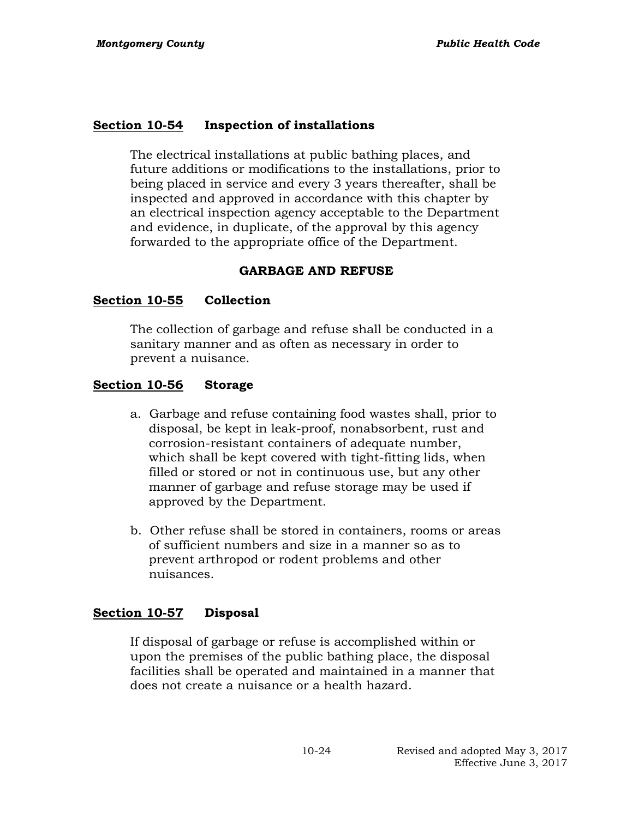#### **Section 10-54 Inspection of installations**

The electrical installations at public bathing places, and future additions or modifications to the installations, prior to being placed in service and every 3 years thereafter, shall be inspected and approved in accordance with this chapter by an electrical inspection agency acceptable to the Department and evidence, in duplicate, of the approval by this agency forwarded to the appropriate office of the Department.

#### **GARBAGE AND REFUSE**

#### **Section 10-55 Collection**

The collection of garbage and refuse shall be conducted in a sanitary manner and as often as necessary in order to prevent a nuisance.

#### **Section 10-56 Storage**

- a. Garbage and refuse containing food wastes shall, prior to disposal, be kept in leak-proof, nonabsorbent, rust and corrosion-resistant containers of adequate number, which shall be kept covered with tight-fitting lids, when filled or stored or not in continuous use, but any other manner of garbage and refuse storage may be used if approved by the Department.
- b. Other refuse shall be stored in containers, rooms or areas of sufficient numbers and size in a manner so as to prevent arthropod or rodent problems and other nuisances.

#### **Section 10-57 Disposal**

If disposal of garbage or refuse is accomplished within or upon the premises of the public bathing place, the disposal facilities shall be operated and maintained in a manner that does not create a nuisance or a health hazard.